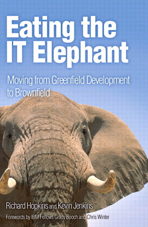# **Eating the<br>IT Elephant**

Moving from Greenfield Development to Brownfield

Richard Hopkins and Kevin Jenkins Forewords by IBM Fellows Grady Booch and Chris Winter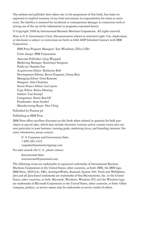The authors and publisher have taken care in the preparation of this book, but make no expressed or implied warranty of any kind and assume no responsibility for errors or omissions. No liability is assumed for incidental or consequential damages in connection with or arising out of the use of the information or programs contained herein.

© Copyright 2008 by International Business Machines Corporation. All rights reserved.

Note to U.S. Government Users: Documentation related to restricted right. Use, duplication, or disclosure is subject to restrictions set forth in GSA ADP Schedule Contract with IBM Corporation.

IBM Press Program Managers: Tara Woodman, Ellice Uffer

Cover design: IBM Corporation Associate Publisher: Greg Wiegand Marketing Manager: Kourtnaye Sturgeon Publicist: Heather Fox Acquisitions Editor: Katherine Bull Development Editors: Kevin Ferguson, Ginny Bess Managing Editor: Gina Kanouse Designer: Alan Clements Senior Project Editor: Lori Lyons Copy Editor: Krista Hansing Indexer: Lisa Stumpf Compositor: Nonie Ratcliff Proofreader: Anne Goebel Manufacturing Buyer: Dan Uhrig

Published by Pearson plc

Publishing as IBM Press

IBM Press offers excellent discounts on this book when ordered in quantity for bulk purchases or special sales, which may include electronic versions and/or custom covers and content particular to your business, training goals, marketing focus, and branding interests. For more information, please contact:

U. S. Corporate and Government Sales 1-800-382-3419 corpsales@pearsontechgroup.com.

For sales outside the U. S., please contact:

International Sales international@pearsoned.com.

The following terms are trademarks or registered trademarks of International Business Machines Corporation in the United States, other countries, or both: IBM, the IBM logo, IBM Press, AD/Cycle, DB2, developerWorks, Rational, System 360, Tivoli and WebSphere. Java and all Java-based trademarks are trademarks of Sun Microsystems, Inc. in the United States, other countries, or both. Microsoft, Windows, Windows NT, and the Windows logo are trademarks of Microsoft Corporation in the United States, other countries, or both. Other company, product, or service names may be trademarks or service marks of others.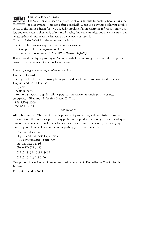

This Book Is Safari Enabled

The Safari, Enabled icon on the cover of your favorite technology book means the book is available through Safari Bookshelf. When you buy this book, you get free

access to the online edition for 45 days. Safari Bookshelf is an electronic reference library that lets you easily search thousands of technical books, find code samples, download chapters, and access technical information whenever and wherever you need it.

To gain 45-day Safari Enabled access to this book:

- Go to<http://www.awprofessional.com/safarienabled>
- Complete the brief registration form
- Enter the coupon code L3LW-38PM-8WA6-9FMJ-ZQUE

If you have difficulty registering on Safari Bookshelf or accessing the online edition, please e-mail customer-service@safaribooksonline.com.

#### *Library of Congress Cataloging-in-Publication Data*

Hopkins, Richard.

Eating the IT elephant : moving from greenfield development to brownfield / Richard Hopkins and Kevin Jenkins.

p. cm. Includes index. ISBN 0-13-713012-0 (pbk. : alk. paper) 1. Information technology. 2. Business enterprises—Planning. I. Jenkins, Kevin. II. Title. T58.5.H69 2008 004.068—dc22

#### 2008004231

All rights reserved. This publication is protected by copyright, and permission must be obtained from the publisher prior to any prohibited reproduction, storage in a retrieval system, or transmission in any form or by any means, electronic, mechanical, photocopying, recording, or likewise. For information regarding permissions, write to:

Pearson Education, Inc Rights and Contracts Department 501 Boylston Street, Suite 900 Boston, MA 02116 Fax (617) 671 3447 ISBN-13: 978-013713012

ISBN-10: 0137130120

Text printed in the United States on recycled paper at R.R. Donnelley in Crawfordsville, Indiana.

First printing May 2008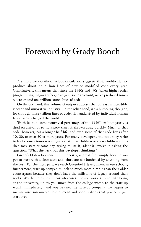# Foreword by Grady Booch

A simple back-of-the-envelope calculation suggests that, worldwide, we produce about 33 billion lines of new or modified code every year. Cumulatively, this means that since the 1940s and '50s (when higher order programming languages began to gain some traction), we've produced somewhere around one trillion source lines of code.

On the one hand, this volume of output suggests that ours is an incredibly vibrant and innovative industry. On the other hand, it's a humbling thought, for through those trillion lines of code, all handcrafted by individual human labor, we've changed the world.

Truth be told, some nontrivial percentage of the 33 billion lines yearly is dead on arrival or so transitory that it's thrown away quickly. Much of that code, however, has a longer half-life, and even some of that code lives after 10, 20, or even 30 or more years. For many developers, the code they write today becomes tomorrow's legacy that their children or their children's children may stare at some day, trying to use it, adapt it, evolve it, asking the question, "What the heck was this developer thinking?"

Greenfield development, quite honestly, is great fun, simply because you get to start with a clean slate and, thus, are not burdened by anything from the past. For the most part, we teach Greenfield development in our schools; furthermore, start-up companies look so much more nimble than their older counterparts because they don't have the millstone of legacy around their necks. Woe be unto the student who enters the real world (it's not like being at the university, unless you move from the college womb to the start-up womb immediately), and woe be unto the start-up company that begins to mature into sustainable development and soon realizes that you can't just start over.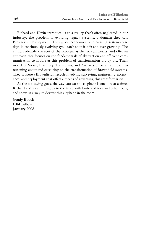Richard and Kevin introduce us to a reality that's often neglected in our industry: the problem of evolving legacy systems, a domain they call Brownfield development. The typical economically interesting system these days is continuously evolving (you can't shut it off) and ever-growing. The authors identify the root of the problem as that of complexity, and offer an approach that focuses on the fundamentals of abstraction and efficient communication to nibble at this problem of transformation bit by bit. Their model of Views, Inventory, Transforms, and Artifacts offers an approach to reasoning about and executing on the transformation of Brownfield systems. They propose a Brownfield lifecycle involving surveying, engineering, acceptance, and deployment that offers a means of governing this transformation.

As the old saying goes, the way you eat the elephant is one bite at a time. Richard and Kevin bring us to the table with knife and fork and other tools, and show us a way to devour this elephant in the room.

**Grady Booch IBM Fellow January 2008**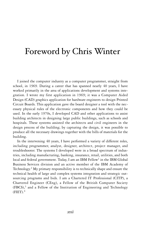# Foreword by Chris Winter

I joined the computer industry as a computer programmer, straight from school, in 1969. During a career that has spanned nearly 40 years, I have worked primarily in the area of applications development and systems integration. I wrote my first application in 1969; it was a Computer Aided Design (CAD) graphics application for hardware engineers to design Printed Circuit Boards. This application gave the board designer a tool with the necessary physical rules of the electronic components and how they could be used. In the early 1970s, I developed CAD and other applications to assist building architects in designing large public buildings, such as schools and hospitals. These systems assisted the architects and civil engineers in the design process of the building; by capturing the design, it was possible to produce all the necessary drawings together with the bills of materials for the building.

In the intervening 40 years, I have performed a variety of different roles, including programmer, analyst, designer, architect, project manager, and troubleshooter. The systems I developed were in a broad spectrum of industries, including manufacturing, banking, insurance, retail, utilities, and both local and federal government. Today, I am an IBM  $F$ ellow<sup>[1](#page-7-0)</sup> in the IBM Global Business Services division and an active member of the IBM Academy of Technology.[2](#page-7-0) My primary responsibility is to technically shape and ensure the technical health of large and complex systems integration and strategic outsourcing programs and bids. I am a Chartered IT Professional (CITP), a Chartered Engineer (CEng), a Fellow of the British Computer Society  $(FBCS)$ ,<sup>[3](#page-7-0)</sup> and a Fellow of the Institution of Engineering and Technology  $(FIET).<sup>4</sup>$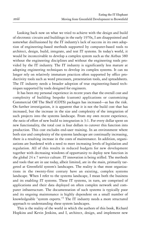Looking back now on what we tried to achieve with the design and build of electronic circuits and buildings in the early 1970s, I am disappointed and somewhat disillusioned by the IT industry's lack of success in its own adoption of engineering-based methods supported by computer-based tools to architect, design, build, integrate, and test IT systems. In today's world, it would be inconceivable to develop a complex system such as the Airbus 380 without the engineering disciplines and without the engineering tools provided by the IT industry. The IT industry is significantly less mature at adopting engineering techniques to develop its complex systems. It can no longer rely on relatively immature practices often supported by office productivity tools such as word processors, presentation tools, and spreadsheets. The IT industry needs a broader adoption of true engineering-based techniques supported by tools designed for engineers.

It has been my personal experience in recent years that the overall cost and complexity of building bespoke (custom) applications or customizing Commercial Off The Shelf (COTS) packages has increased—as has the risk. On further investigation, it is apparent that it is not the build cost that has increased, but the increase in the size and complexity of the integration of such projects into the systems landscape. From my own recent experience, the ratio of effort of new build to integration is 3:1. For every dollar spent on new functionality, the total cost is four dollars to cutover this function into production. This cost excludes end-user training. In an environment where both size and complexity of the systems landscape are continually increasing, there is a resulting increase in the costs of maintenance. In addition, organizations are burdened with a need to meet increasing levels of legislation and regulation. All of this results in reduced budgets for new development together with decreasing windows of opportunity to deploy new function in the global 24 x 7 service culture. IT innovation is being stifled. The methods and tools that are in use today, albeit limited, are in the main, primarily targeted at Greenfield system's landscapes. The reality is that most organizations in the twenty-first century have an existing, complex systems landscape. When I refer to the systems landscape, I mean both the business and its enabling IT systems. These IT systems, in turn, are comprised of applications and their data deployed on often complex network and computer infrastructure. The documentation of such systems is typically poor and its ongoing maintenance is highly dependent on a small number of knowledgeable "system experts."[5](#page-7-0) The IT industry needs a more structured approach to understanding these system landscapes.

This is the reality of the world in which the authors of this book, Richard Hopkins and Kevin Jenkins, and I, architect, design, and implement new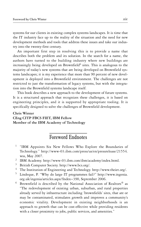<span id="page-7-0"></span>systems for our clients in existing complex systems landscapes. It is time that the IT industry face up to the reality of the situation and the need for new development methods and tools that address these issues and take our industry into the twenty-first century.

An important first step in resolving this is to provide a name that describes both the problem and its solution. In the search for a name, the authors have turned to the building industry where new buildings are increasingly being developed on Brownfield<sup>[6](#page-7-0)</sup> sites. This is analogous to the majority of today's new systems that are being developed on Brownfield systems landscapes; it is my experience that more than 90 percent of new development is deployed into a Brownfield environment. The challenges are not restricted to just the transformation of legacy systems, but with the integration into the Brownfield systems landscape itself.

This book describes a new approach to the development of future systems. It is a structured approach that recognizes these challenges, it is based on engineering principles, and it is supported by appropriate tooling. It is specifically designed to solve the challenges of Brownfield development.

## **Chris Winter CEng CITP FBCS FIET, IBM Fellow Member of the IBM Academy of Technology**

# Foreword Endnotes

- <sup>1</sup> "IBM Appoints Six New Fellows Who Explore the Boundaries of Technology." [http://www-03.ibm.com/press/us/en/pressrelease/21554.](http://www-03.ibm.com/press/us/en/pressrelease/21554.wss) [wss,](http://www-03.ibm.com/press/us/en/pressrelease/21554.wss) May 2007.
- <sup>2</sup> IBM Academy. [http://www-03.ibm.com/ibm/academy/index.html.](http://www-03.ibm.com/ibm/academy/index.html)
- <sup>3</sup> British Computer Society. [http://www.bcs.org/.](http://www.bcs.org/)
- <sup>4</sup> The Institution of Engineering and Technology. http://www.theiet.org/.
- <sup>5</sup> Lindeque, P. "Why do large IT programmes fail?" [http://www.ingenia.](http://www.ingenia.org.uk/ingenia/articles.aspx?Index=390) [org.uk/ingenia/articles.aspx?Index=390,](http://www.ingenia.org.uk/ingenia/articles.aspx?Index=390) September 2006.
- $6$  Brownfield is described by the National Association of Realtors® as "The redevelopment of existing urban, suburban, and rural properties already served by infrastructure including 'brownfields' sites, that are or may be contaminated, stimulates growth and improves a community's economic vitality. Development in existing neighborhoods is an approach to growth that can be cost-effective while providing residents with a closer proximity to jobs, public services, and amenities."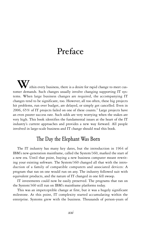# Preface

<span id="page-8-0"></span>**W** ithin every business, there is a desire for rapid change to meet customer demands. Such changes usually involve changing supporting IT systems. When large business changes are required, the accompanying IT changes tend to be significant, too. However, all too often, these big projects hit problems, run over budget, are delayed, or simply get cancelled. Even in 2006, 65% of IT projects failed on one of these counts.<sup>[1](#page-13-0)</sup> Large projects have an even poorer success rate. Such odds are very worrying when the stakes are very high. This book identifies the fundamental issues at the heart of the IT industry's current approaches and provides a new way forward. All people involved in large-scale business and IT change should read this book.

# The Day the Elephant Was Born

The IT industry has many key dates, but the introduction in 1964 of IBM's new-generation mainframe, called the System/360, marked the start of a new era. Until that point, buying a new business computer meant rewriting your existing software. The System/360 changed all that with the introduction of a family of compatible computers and associated devices: A program that ran on one would run on any. The industry followed suit with equivalent products, and the nature of IT changed in one fell swoop.

IT investments could now be easily preserved. The programs that ran on the System/360 still run on IBM's mainframe platforms today.

This was an imperceptible change at first, but it was a hugely significant milestone. At this point, IT complexity started accumulating within the enterprise. Systems grew with the business. Thousands of person-years of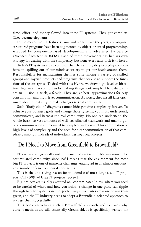<span id="page-9-0"></span>time, effort, and money flowed into these IT systems. They got complex. They became elephants.

In the meantime, IT fashions came and went. Over the years, the original structured programs have been augmented by object-oriented programming, wrapped by component-based development, and advertised by Service Oriented Architecture (SOA). Each of these movements has had its own strategy for dealing with the complexity, but none ever really took it to heart.

Today's IT systems are so complex that they simply defy everyday comprehension, spilling out of our minds as we try to get our heads around them. Responsibility for maintaining them is split among a variety of skilled groups and myriad products and programs that coexist to support the functions of the enterprise. To deal with this Hydra, we draw high-level architecture diagrams that comfort us by making things look simple. These diagrams are an illusion, a trick, a facade. They are, at best, approximations for easy consumption and high-level communication. At worst, they instill false optimism about our ability to make changes to that complexity.

Such "fluffy cloud" diagrams cannot hide genuine complexity forever. To achieve your business goals and change those systems, you must understand, communicate, and harness the real complexity. No one can understand the whole beast, so vast amounts of well-coordinated teamwork and unambiguous communication are required to complete such tasks. This combination of high levels of complexity and the need for clear communication of that complexity among hundreds of individuals destroys big projects.

# Do I Need to Move from Greenfield to Brownfield?

IT systems are generally not implemented on Greenfields any more. The accumulated complexity since 1964 means that the environment for most big IT projects is one of immense challenge, entangled in an almost uncountable number of environmental constraints.

This is the underlying reason for the demise of most large-scale IT projects. Only 30% of large IT projects succeed.

Big projects are usually executed on "contaminated" sites, where you need to be careful of where and how you build; a change in one place can ripple through to other systems in unexpected ways. Such sites are more brown than green, and the IT industry needs to adopt a Brownfield-oriented approach to address them successfully.

This book introduces such a Brownfield approach and explains why current methods are still essentially Greenfield. It is specifically written for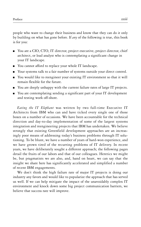<span id="page-10-0"></span>people who want to change their business and know that they can do it only by building on what has gone before. If *any* of the following is true, this book is for you:

- You are a CIO, CTO, IT director, project executive, project director, chief architect, or lead analyst who is contemplating a significant change in your IT landscape.
- You cannot afford to replace your whole IT landscape.
- Your systems talk to a fair number of systems outside your direct control.
- You would like to reengineer your existing IT environment so that it will remain flexible for the future.
- You are deeply unhappy with the current failure rates of large IT projects.
- You are contemplating sending a significant part of your IT development and testing work off-shore.

*Eating the IT Elephant* was written by two full-time Executive IT Architects from IBM who can and have ticked every single one of those boxes on a number of occasions. We have been accountable for the technical direction and day-to-day implementation of some of the largest systems integration and reengineering projects that IBM has undertaken. We believe strongly that existing Greenfield development approaches are an increasingly poor means of addressing today's business problems through IT solutioning. To be blunt, we have a number of years of hard-won experience, and we have grown tired of the recurring problems of IT delivery. In recent years, we have deliberately sought a different approach; the following pages detail the fruits of our labors and that of our colleagues. Heretics we might be, but pragmatists we are also, and, hand on heart, we can say that the insight we share here has significantly accelerated and simplified a number of recent IBM engagements.

We don't think the high failure rate of major IT projects is doing our industry any favors and would like to popularize the approach that has served us well. If we can help mitigate the impact of the unavoidably complex IT environment and knock down some big project communication barriers, we believe that success rate will improve.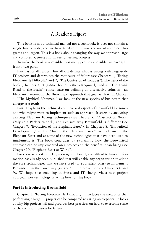# A Reader's Digest

<span id="page-11-0"></span>This book is not a technical manual nor a cookbook; it does not contain a single line of code, and we have tried to minimize the use of technical diagrams and jargon. This is a book about changing the way we approach large and complex business and IT reengineering projects.

To make the book as accessible to as many people as possible, we have split it into two parts.

Part I is for all readers. Initially, it defines what is wrong with large-scale IT projects and determines the root cause of failure (see Chapters 1, "Eating Elephants Is Difficult," and 2, "The Confusion of Tongues"). The heart of the book (Chapters 3, "Big-Mouthed Superhero Required," and 4, "The Trunk Road to the Brain") concentrate on defining an alternative solution—an Elephant Eater—and the Brownfield approach that goes with it. In Chapter 5, "The Mythical Metaman," we look at the new species of businesses that emerge as a result.

Part II explains the technical and practical aspects of Brownfield for someone who might want to implement such an approach. It starts by analyzing existing Elephant Eating techniques (see Chapter 6, "Abstraction Works Only in a Perfect World") and explains why Brownfield is different (see Chapter 7, "Evolution of the Elephant Eater"). In Chapters 8, "Brownfield Development," and 9, "Inside the Elephant Eater," we look inside the Elephant Eater and at some of the new technologies that have been used to implement it. The book concludes by explaining how the Brownfield approach can be implemented on a project and the benefits it can bring (see Chapter 10, "Elephant Eater at Work").

For those who take the key messages on board, a wealth of technical information has already been published that will enable any organization to adopt the core technologies that we have used (or equivalent ones) to implement Brownfield in their own way (see the "Endnotes" sections of Chapters 8 and 9). We hope that enabling business and IT change via a new project approach, not technology, is at the heart of this book.

#### **Part I: Introducing Brownfield**

Chapter 1, "Eating Elephants Is Difficult," introduces the metaphor that performing a large IT project can be compared to eating an elephant. It looks at why big projects fail and provides best practices on how to overcome some of the common reasons for failure.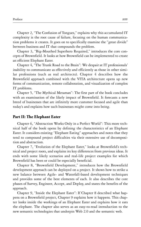Chapter 2, "The Confusion of Tongues," explains why this accumulated IT complexity is the root cause of failure, focusing on the human communication problems it creates. It goes on to specifically examine the "great divide" between business and IT that compounds the problem.

Chapter 3, "Big-Mouthed Superhero Required," introduces the core concepts of Brownfield. It looks at how Brownfield can be implemented to create an efficient Elephant Eater.

Chapter 4, "The Trunk Road to the Brain": We despair at IT professionals' inability to communicate as effectively and efficiently as those in other similar professions (such as real architects). Chapter 4 describes how the Brownfield approach combined with the VITA architecture opens up new forms of communication, remote collaboration, and visualization of complex IT problems.

Chapter 5, "The Mythical Metaman": The first part of the book concludes with an examination of the likely impact of Brownfield. It forecasts a new breed of businesses that are infinitely more customer focused and agile than today's and explains how such businesses might come into being.

#### **Part II: The Elephant Eater**

Chapter 6, "Abstraction Works Only in a Perfect World": This more technical half of the book opens by defining the characteristics of an Elephant Eater. It considers existing "Elephant Eating" approaches and notes that they tend to compound project difficulties via their extensive use of decomposition and abstraction.

Chapter 7, "Evolution of the Elephant Eater," looks at Brownfield's technical and project roots, and explains its key differences from previous ideas. It ends with some likely scenarios and real-life project examples for which Brownfield has been or could be especially beneficial.

Chapter 8, "Brownfield Development," introduces how the Brownfield development approach can be deployed on a project. It shows how to strike a new balance between Agile- and Waterfall-based development techniques and provides some of the best elements of each. It also describes the core phases of Survey, Engineer, Accept, and Deploy, and states the benefits of the approach.

Chapter 9, "Inside the Elephant Eater": If Chapter 8 described what happens on a Brownfield project, Chapter 9 explains how it happens. This chapter looks inside the workings of an Elephant Eater and explains how it eats the elephant. The chapter also serves as an easy-to-read introduction to the new semantic technologies that underpin Web 2.0 and the semantic web.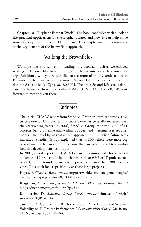<span id="page-13-1"></span><span id="page-13-0"></span>Chapter 10, "Elephant Eater at Work": The book concludes with a look at the practical applications of the Elephant Eater and how it can help solve some of today's most difficult IT problems. This chapter includes a summary of the key benefits of the Brownfield approach.

# Walking the Brownfields

We hope that you will enjoy reading this book as much as we enjoyed writing it. If you'd like to see more, go to the website [www.elephanteaters.](www.elephanteaters.org) [org.](www.elephanteaters.org) Additionally, if you would like to see more of the dynamic nature of Brownfield, there are two exhibitions in Second Life. One Second Life site is dedicated to the book [Cypa 30,180,302]. The other Second Life site is dedicated to the use of Brownfield within IBM at [IBM 1 140, 150, 60]. We look forward to meeting you there.

# Endnotes

<sup>1</sup> The initial CHAOS report from Standish Group in 1994 reported a 16% success rate for IT projects. This success rate has generally increased over the intervening years. In 2006, Standish Group reported 35% of IT projects being on time and within budget, and meeting user requirements. The only blip in that record appeared in 2004, when failure rates increased. Standish Group explained that in 2004 there were more big projects—they fail more often because they are often forced to abandon iterative development techniques.

In 2007, a rival report to CHAOS by Sauer, Gemino, and Horner Reich looked at 412 projects. It found that more than 65% of IT projects succeeded, but it found no successful projects greater than 200 personyears. This book looks specifically at those large projects.

Hayes, F. *Chaos Is Back.* [www.computerworld.com/managementtopics/](www.computerworld.com/managementtopics/management/project/story/0,10801,97283,00.html) [management/project/story/0,10801,97283,00.html.](www.computerworld.com/managementtopics/management/project/story/0,10801,97283,00.html)

Krigsman, M. *Rearranging the Deck Chairs: IT Project Failures.* [http://](http://blogs.zdnet.com/projectfailures/?p=513) [blogs.zdnet.com/projectfailures/?p=513.](http://blogs.zdnet.com/projectfailures/?p=513)

Rubinstein, D. *Standish Group Report.* [www.sdtimes.com/article/](www.sdtimes.com/article/story-20070301-01.html) [story-20070301-01.html.](www.sdtimes.com/article/story-20070301-01.html)

Sauer, C., A. Gemino, and B. Horner Reigh. "The Impact and Size and Volatility on IT Project Performance." *Communications of the ACM* 50 no. 11 (November 2007): 79–84.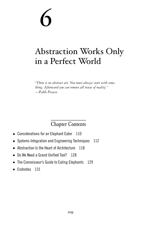# 6

# Abstraction Works Only in a Perfect World

*"There is no abstract art. You must always start with something. Afterward you can remove all traces of reality." —Pablo Picasso*

# Chapter Contents

- Considerations for an Elephant Eater 110
- Systems Integration and Engineering Techniques 112
- Abstraction Is the Heart of Architecture 118
- Do We Need a Grand Unified Tool? 128
- The Connoisseur's Guide to Eating Elephants 129
- Fndnotes 131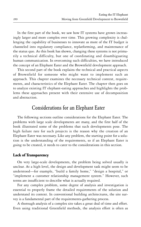In the first part of the book, we saw how IT systems have grown increasingly larger and more complex over time. This growing complexity is challenging the capability of businesses to innovate as more of the IT budget is channeled into regulatory compliance, replatforming, and maintenance of the status quo. As this book has shown, changing these systems is not primarily a technical difficulty, but one of coordinating and disambiguating human communication. In overcoming such difficulties, we have introduced the concept of an Elephant Eater and the Brownfield development approach.

This second part of the book explains the technical and practical aspects of Brownfield for someone who might want to implement such an approach. This chapter examines the necessary technical context, requirements, and characteristics of the Elephant Eater. The chapter then goes on to analyze existing IT elephant-eating approaches and highlights the problems these approaches present with their extensive use of decomposition and abstraction.

# Considerations for an Elephant Eater

The following sections outline considerations for the Elephant Eater. The problems with large scale developments are many, and the first half of the book illustrated some of the problems that such developments pose. The high failure rate for such projects is the reason why the creation of an Elephant Eater was necessary. Like any problem, the starting point for a solution is the understanding of the requirements, so if an Elephant Eater is going to be created, it needs to cater to the considerations in this section.

#### **Lack of Transparency**

On very large-scale developments, the problem being solved usually is unclear. At a high level, the design and development task might seem to be understood—for example, "build a family home," "design a hospital," or "implement a customer relationship management system." However, such terms are insufficient to describe what is actually required.

For any complex problem, some degree of analysis and investigation is essential to properly frame the detailed requirements of the solution and understand its context. In conventional building architectures, the site survey is a fundamental part of the requirements-gathering process.

A thorough analysis of a complex site takes a great deal of time and effort. Even using traditional Greenfield methods, the analysis effort is often as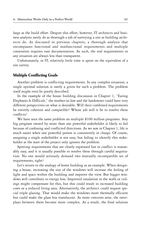large as the build effort. Despite this effort, however, IT architects and business analysts rarely do as thorough a job of surveying a site as building architects do. As discussed in previous chapters, a thorough analysis that encompasses functional and nonfunctional requirements and multiple constraints requires vast documentation. As such, the real requirements in any situation are always less than transparent.

Unfortunately, in IT, relatively little time is spent on the equivalent of a site survey.

#### **Multiple Conflicting Goals**

Another problem is conflicting requirements. In any complex situation, a single optimal solution is rarely a given for such a problem. The problem itself might even be poorly described.

In the example of the house building discussion in Chapter 1, "Eating Elephants Is Difficult," the mother-in-law and the landowner could have very different perspectives on what is desirable. Will their combined requirements be entirely coherent and compatible? Whose job will it be to resolve these conflicts?

We have seen the same problem on multiple \$100 million programs. Any big program owned by more than one powerful stakeholder is likely to fail because of confusing and conflicted directions. As we saw in Chapter 1, life is much easier when one powerful person is consistently in charge. Of course, assigning a single stakeholder is not easy, but failing to identify this stakeholder at the start of the project only ignores the problem.

Spotting requirements that are clearly expressed but in conflict is reasonably easy, and it is usually possible to resolve these through careful negotiation. No one would seriously demand two mutually incompatible set of requirements, right?

Let's return to the analogy of home building as an example. When designing a house, increasing the size of the windows will increase the feeling of light and space within the building and improve the view. But bigger windows will contribute to energy loss. Improved insulation in the walls or ceilings might compensate for this, but this could result in increased building costs or a reduced living area. Alternatively, the architect could request special triple glazing. That would make the windows more thermally efficient but could make the glass less translucent. As more concerns arise, the interplays between them become more complex. As a result, the final solution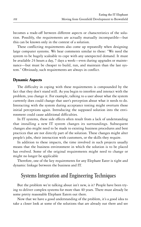becomes a trade-off between different aspects or characteristics of the solution. Possibly, the requirements are actually mutually incompatible—but this can be known only in the context of a solution.

These conflicting requirements also come up repeatedly when designing large computer systems. We hear comments similar to these: "We need the system to be hugely scaleable to cope with any unexpected demand. It must be available 24 hours a day, 7 days a week—even during upgrades or maintenance—but must be cheaper to build, run, and maintain than the last system." Obviously, such requirements are always in conflict.

#### **Dynamic Aspects**

The difficulty in coping with these requirements is compounded by the fact that they don't stand still. As you begin to interfere and interact with the problem, you change it. For example, talking to a user about what the system currently does could change that user's perception about what it needs to do. Interacting with the system during acceptance testing might overturn those initial perceptions again. Introducing the supposed solution into the environment could cause additional difficulties.

In IT systems, these side effects often result from a lack of understanding that installing a new IT system changes its surroundings. Subsequent changes also might need to be made to existing business procedures and best practices that are not directly part of the solution. These changes might alter people's jobs, their interaction with customers, or the skills they require.

In addition to these impacts, the time involved in such projects usually means that the business environment in which the solution is to be placed has evolved. Some of the original requirements might need to change or might no longer be applicable

Therefore, one of the key requirements for any Elephant Eater is tight and dynamic linkage between the business and IT.

# Systems Integration and Engineering Techniques

But the problem we're talking about isn't new, is it? People have been trying to deliver complex systems for more than 40 years. There must already be some pretty reasonable Elephant Eaters out there.

Now that we have a good understanding of the problem, it's a good idea to take a closer look at some of the solutions that are already out there and see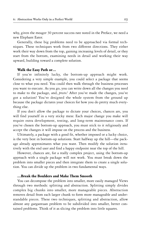why, given the meager 30 percent success rate noted in the Preface, we need a new Elephant Eater.

Generally, these big problems need to be approached via formal techniques. These techniques work from two different directions. They either work their way down from the top, gaining increasing levels of detail, or they start from the bottom, examining needs in detail and working their way upward, building toward a complete solution.

#### **Walk the Easy Path or…**

If you're infinitely lucky, the bottom-up approach might work. Considering a very simple example, you could select a package that seems close to what you need. You could then walk through the business processes you want to execute. As you go, you can write down all the changes you need to make to the package, and, *presto!* After you've made the changes, you've got a solution! You've designed the whole system from the ground up because the package dictates your choices for how you do pretty much everything else.

If you don't allow the package to dictate your choices, chances are, you will find yourself in a very sticky mess: Each major change you make will require extra development, testing, and long-term maintenance costs. If you've chosen the bottom-up approach, you must stick to it religiously and accept the changes it will impose on the process and the business.

Ultimately, a package with a good fit, whether imposed or a lucky choice, is the very best in bottom-up solutions. Start halfway up the hill—the package already approximates what you want. Then modify the solution iteratively with the end user and find a happy endpoint near the top of the hill.

However, chances are, for a really complex project, using the bottom-up approach with a single package will not work. You must break down the problem into smaller pieces and then integrate them to create a single solution. You can divide up the problem in two fundamental ways.

#### **…Break the Boulders and Make Them Smooth**

You can decompose the problem into smaller, more easily managed Views through two methods: splitting and abstraction. Splitting simply divides complex big chunks into smaller, more manageable pieces. Abstraction removes detail from each larger chunk to form more manageable and understandable pieces. These two techniques, splitting and abstraction, allow almost any gargantuan problem to be subdivided into smaller, better contained problems. Think of it as slicing the problem into little squares.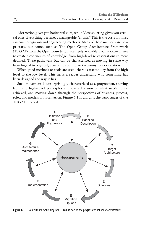Abstraction gives you horizontal cuts, while View splitting gives you vertical ones. Everything becomes a manageable "chunk." This is the basis for most systems integration and engineering methods. Many of these methods are proprietary, but some, such as The Open Group Architecture Framework (TOGAF) from the Open Foundation, are freely available. Each approach tries to create a continuum of knowledge, from high-level representations to more detailed. These paths vary but can be characterized as moving in some way from logical to physical, general to specific, or taxonomy to specification.

When good methods or tools are used, there is traceability from the high level to the low level. This helps a reader understand why something has been designed the way it has.

Such movement is unsurprisingly characterized as a progression, starting from the high-level principles and overall vision of what needs to be achieved, and moving down through the perspectives of business, process, roles, and models of information. Figure 6.1 highlights the basic stages of the TOGAF method.



**Figure 6.1** Even with its cyclic diagram, TOGAF is part of the progressive school of architecture.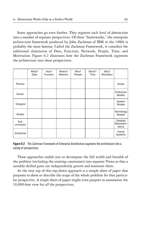Some approaches go even further. They segment each level of abstraction into a number of separate perspectives. Of these "frameworks," the enterprise architecture framework produced by John Zachman of IBM in the 1980s is probably the most famous. Called the Zachman Framework, it considers the additional dimension of Data, Function, Network, People, Time, and Motivation. Figure 6.2 illustrates how the Zachman Framework segments the architecture into these perspectives.

|                    | What?<br>Data | How?<br>Function | Where?<br><b>Network</b> | Who?<br>People | When?<br>Time | Why?<br>Motivation |                                  |
|--------------------|---------------|------------------|--------------------------|----------------|---------------|--------------------|----------------------------------|
| Planner            |               |                  |                          |                |               |                    | Scope                            |
| Owner              |               |                  |                          |                |               |                    | Enterprise<br>Models             |
| Designer           |               |                  |                          |                |               |                    | System<br><b>Models</b>          |
| <b>Builder</b>     |               |                  |                          |                |               |                    | Technology<br><b>Models</b>      |
| Sub-<br>contractor |               |                  |                          |                |               |                    | Detailed<br>Represent-<br>ations |
| Enterprise         |               |                  |                          |                |               |                    | Actual<br>Systems                |

**Figure 6.2** The Zachman Framework of Enterprise Architecture segments the architecture into a variety of perspectives.

These approaches enable you to decompose the full width and breadth of the problem (including the existing constraints) into separate Views so that a suitably skilled guru can independently govern and maintain them.

At the very top of this top-down approach is a simple sheet of paper that purports to show or describe the scope of the whole problem for that particular perspective. A single sheet of paper might even purport to summarize the 10,000-foot view for *all* the perspectives.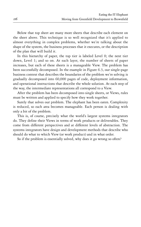Below that top sheet are many more sheets that describe each element on the sheet above. This technique is so well recognized that it's applied to almost everything in complex problems, whether we're talking about the shape of the system, the business processes that it executes, or the description of the plan that will build it.

In this hierarchy of paper, the top tier is labeled Level 0; the next tier down, Level 1; and so on. At each layer, the number of sheets of paper increases, but each of these sheets is a manageable View. The problem has been successfully decomposed. In the example in Figure 6.3, our single-page business context that describes the boundaries of the problem we're solving is gradually decomposed into 60,000 pages of code, deployment information, and operational instructions that describe the whole solution. At each step of the way, the intermediate representations all correspond to a View.

After the problem has been decomposed into single sheets, or Views, rules must be written and applied to specify how they work together.

Surely that solves our problem. The elephant has been eaten. Complexity is reduced, so each area becomes manageable. Each person is dealing with only a bit of the problem.

This is, of course, precisely what the world's largest systems integrators do. They define their Views in terms of work products or deliverables. They come from different perspectives and at different levels of abstraction. The systems integrators have design and development methods that describe who should do what to which View (or work product) and in what order.

So if the problem is essentially solved, why does it go wrong so often?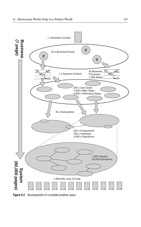

**Figure 6.3** Decomposition of a complex problem space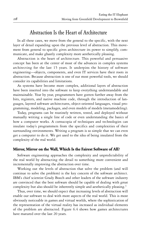# Abstraction Is the Heart of Architecture

In all these cases, we move from the general to the specific, with the next layer of detail expanding upon the previous level of abstraction. This movement from general to specific gives architecture its power to simplify, communicate, and make ghastly complexity more aesthetically pleasing.

Abstraction is the heart of architecture. This powerful and persuasive concept has been at the center of most of the advances in complex systems architecting for the last 15 years. It underpins the history of software engineering—objects, components, and even IT services have their roots in abstraction. Because abstraction is one of our most powerful tools, we should consider its capabilities and limitations.

As systems have become more complex, additional layers of abstraction have been inserted into the software to keep everything understandable and maintainable. Year by year, programmers have gotten further away from the bits, registers, and native machine code, through the introduction of languages, layered software architectures, object-oriented languages, visual programming, modeling, packages, and even models of models (metamodeling).

Today, programs can be routinely written, tested, and deployed without manually writing a single line of code or even understanding the basics of how a computer works. A cornucopia of techniques and technologies can insulate today's programmers from the specifics and complexities of their surrounding environments. Writing a program is so simple that we can even get a computer to do it. We get used to the idea of being insulated from the complexity of the real world.

#### **Mirror, Mirror on the Wall, Which Is the Fairest Software of All?**

Software engineering approaches the complexity and unpredictability of the real world by abstracting the detail to something more convenient and incrementally improving the abstraction over time.

Working out the levels of abstraction that solve the problem (and will continue to solve the problem) is the key concern of the software architect. IBM's chief scientist Grady Booch and other leaders of the software industry are convinced that the best software should be capable of dealing with great complexity but also should be inherently simple and aesthetically pleasing.<sup>1</sup>

Thus, over time, we should expect that increasing levels of abstraction will enable our software to deal with more aspects of the real world. This is most obviously noticeable in games and virtual worlds, where the sophistication of the representation of the virtual reality has increased as individual elements of the problem are abstracted. Figure 6.4 shows how games architectures have matured over the last 20 years.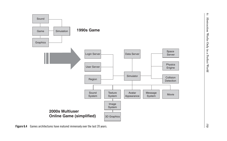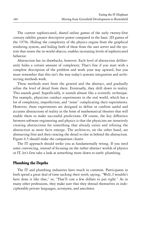The current sophisticated, shared online games of the early twenty-first century exhibit greater descriptive power compared to the basic 2D games of the 1970s. Hiding the complexity of the physics engine from the graphical rendering system, and hiding both of these from the user server and the system that stores the in-world objects, enables increasing levels of sophisticated behavior.

Abstraction has its drawbacks, however. Each level of abstraction deliberately hides a certain amount of complexity. That's fine if you start with a complete description of the problem and work your way upward, but you must remember that this isn't the way today's systems integration and architecting methods work.

These methods start from the general and the abstract, and gradually refine the level of detail from there. Eventually, they drill down to reality. This sounds good. Superficially, it sounds almost like a scientific technique. For example, physicists conduct experiments in the real world, which has a lot of complexity, imperfection, and "noise" complicating their experiments. However, those experiments are designed to define or confirm useful and accurate abstractions of reality in the form of mathematical theories that will enable them to make successful predictions. Of course, the key difference between software engineering and physics is that the physicists are iteratively creating abstractions for something that already exists and refining the abstraction as more facts emerge. The architects, on the other hand, are abstracting first and then creating the detail to slot in behind the abstraction. Figure 6.5 should make the comparison clearer.

The IT approach should strike you as fundamentally wrong. If you need some convincing, instead of focusing on the rather abstract worlds of physics or IT, let's first take a look at something more down to earth: plumbing.

#### **Plumbing the Depths**

The IT and plumbing industries have much in common. Participants in both spend a great deal of time sucking their teeth, saying, "Well, I wouldn't have done it like that," or, "That'll cost a few dollars to put right." As in many other professions, they make sure that they shroud themselves in indecipherable private languages, acronyms, and anecdotes.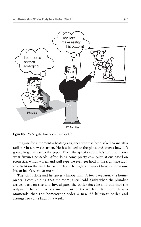

**Figure 6.5** Who's right? Physicists or IT architects?

Imagine for a moment a heating engineer who has been asked to install a radiator in a new extension. He has looked at the plans and knows how he's going to get access to the pipes. From the specifications he's read, he knows what fixtures he needs. After doing some pretty easy calculations based on room size, window area, and wall type, he even got hold of the right size radiator to fit on the wall that will deliver the right amount of heat for the room. It's an hour's work, at most.

The job is done and he leaves a happy man. A few days later, the homeowner is complaining that the room is still cold. Only when the plumber arrives back on-site and investigates the boiler does he find out that the output of the boiler is now insufficient for the needs of the house. He recommends that the homeowner order a new 33-kilowatt boiler and arranges to come back in a week.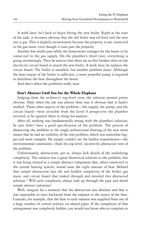A week later, he's back to begin fitting the new boiler. Right at the start of the task, it becomes obvious that the old boiler was oil-fired and the new one is gas. This is slightly inconvenient because the property is not connected to the gas main, even though it runs past the property.

Another few weeks pass while the homeowner arranges for the house to be connected to the gas supply. On the plumber's third visit, everything is going swimmingly. Then he notices that there are no free breaker slots on the electricity circuit board to attach the new boiler. A week later, he replaces the circuit board. The boiler is installed, but another problem arises: Although the heat output of the boiler is sufficient, a more powerful pump is required to distribute the heat throughout the house.

And that's when the problems really start.

#### **Don't Abstract Until You See the Whole Elephant**

Judging from the architect's top-level view, the solution seemed pretty obvious. Only when the job was almost done was it obvious that it hadn't worked. Those other aspects of the problem—the supply, the pump, and the circuit board—were invisible from the Level 0 perspective the plumber received, so he ignored them in doing his analysis.

After all, nothing was fundamentally wrong with the plumber's solution; he just didn't have a good specification of the problem. The process of abstracting the problem to the single architectural drawing of the new room meant that he had no visibility of the real problem, which was somewhat bigger and more complex. He simply couldn't see the hidden requirements—the environmental constraints—from his top-level, incorrectly abstracted view of the problem.

Unfortunately, abstractions, per se, always lack details of the underlying complexity. The radiator was a good theoretical solution to the problem, but it was being treated as a simple abstract component that, when connected to the central heating system, would issue the right amount of heat. Behind that simple abstraction lays the real hidden complexity of the boiler, gas main, and circuit board that leaked through and derailed this abstracted solution.<sup>[2](#page-36-0)</sup> Will such complexity always leak up through the pipe and derail simple abstract solutions?

Well, imagine for a moment that the abstraction was absolute and that it was impossible to trace backward from the radiator to the source of the heat. Consider, for example, that the heat to each radiator was supplied from one of a huge number of central utilities via shared pipes. If the complexity of that arrangement was completely hidden, you would not know who to complain to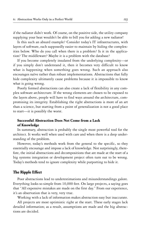#### if the radiator didn't work. Of course, on the positive side, the utility company supplying your heat wouldn't be able to bill you for adding a new radiator!

Is this such an absurd example? Consider today's IT infrastructures, with layers of software, each supposedly easier to maintain by hiding the complexities below. Who do you call when there is a problem? Is it in the application? The middleware? Maybe it is a problem with the database?

If you become completely insulated from the underlying complexity—or if you simply don't understand it, then it becomes very difficult to know what is happening when something goes wrong. Such an approach also encourages naïve rather than robust implementations. Abstractions that fully hide complexity ultimately cause problems because it is impossible to know what is going wrong.

Poorly formed abstractions can also create a lack of flexibility in any complex software architecture. If the wrong elements are chosen to be exposed to the layers above, people will have to find ways around the architecture, compromising its integrity. Establishing the right abstractions is more of an art than a science, but starting from a point of generalization is not a good place to start—it is possibly the worst.

#### **Successful Abstraction Does Not Come from a Lack of Knowledge**

In summary, abstraction is probably the single most powerful tool for the architect. It works well when used with care and when there is a deep understanding of the problem.

However, today's methods work from the general to the specific, so they essentially encourage and impose a lack of knowledge. Not surprisingly, therefore, the initial abstractions and decompositions that are made at the start of a big systems integration or development project often turn out to be wrong. Today's methods tend to ignore complexity while purporting to hide it.

#### **The Ripple Effect**

Poor abstractions lead to underestimations and misunderstandings galore. Everything looks so simple from 10,000 feet. On large projects, a saying goes that "All expensive mistakes are made on the first day." From our experience, it's an observation that is very, very true.

Working with a lack of information makes abstraction easy but inaccurate.

All projects are most optimistic right at the start. These early stages lack detailed information; as a result, assumptions are made and the big abstractions are decided.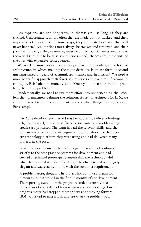Assumptions are not dangerous in themselves—as long as they are tracked. Unfortunately, all too often they are made but not tracked, and their impact is not understood. In some ways, they are treated as "risks that will never happen." Assumptions must always be tracked and reviewed, and their potential impact, if they're untrue, must be understood. Chances are, some of them will turn out to be false assumptions—and, chances are, those will be the ones with expensive consequences.

We need to move away from this optimistic, pretty-diagram school of architecture, in which making the right decisions is an art form of second guessing based on years of accumulated instinct and heuristics.<sup>[3](#page-36-0)</sup> We need a more scientific approach with fewer assumptions and oversimplifications. A colleague, Bob Lojek, memorably said, "Once you understand the full problem, there is no problem."

Fundamentally, we need to put more effort into understanding the problem than prematurely defining the solution. As senior architects for IBM, we are often asked to intervene in client projects when things have gone awry. For example:

An Agile development method was being used to deliver a leadingedge, web-based, customer self-service solution for a world-leading credit card processor. The team had all the relevant skills, and the lead architect was a software engineering guru who knew the modern technology platform they were using and had delivered many projects in the past.

Given the new nature of the technology, the team had conformed strictly to the best-practice patterns for development and had created a technical prototype to ensure that the technology did what they wanted it to do. The design they had created was hugely elegant and was exactly in line with the customer requirement.

A problem arose, though. The project had run like a dream for 6 months, but it stalled in the final 3 months of the development. The reporting system for the project recorded correctly that 80 percent of the code had been written and was working, but the progress meter had stopped there and was not moving forward. IBM was asked to take a look and see what the problem was.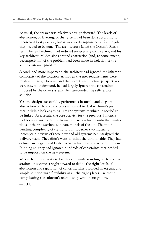As usual, the answer was relatively straightforward. The levels of abstraction, or layering, of the system had been done according to theoretical best practice, but it was overly sophisticated for the job that needed to be done. The architecture failed the Occam's Razor test: The lead architect had induced unnecessary complexity, and his key architectural decisions around abstraction (and, to some extent, decomposition) of the problem had been made in isolation of the actual customer problem.

Second, and more important, the architect had ignored the inherent complexity of the solution. Although the user requirements were relatively straightforward and the Level 0 architecture perspectives were easy to understand, he had largely ignored the constraints imposed by the other systems that surrounded the self-service solution.

Yes, the design successfully performed a beautiful and elegant abstraction of the core concepts it needed to deal with—it's just that it didn't look anything like the systems to which it needed to be linked. As a result, the core activity for the previous 3 months had been a frantic attempt to map the new solution onto the limitations of the transactions and data models of the old. The mindbending complexity of trying to pull together two mutually incompatible views of these new and old systems had paralyzed the delivery team. They didn't want to think the unthinkable. They had defined an elegant and best-practice solution to the wrong problem. In doing so, they had ignored hundreds of constraints that needed to be imposed on the new system.

When the project restarted with a core understanding of these constraints, it became straightforward to define the right levels of abstraction and separation of concerns. This provided an elegant and simple solution with flexibility in all the right places—without complicating the solution's relationship with its neighbors.

 $-R.H.$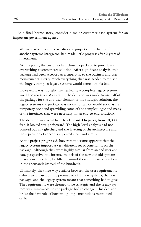As a final horror story, consider a major customer case system for an important government agency:

We were asked to intervene after the project (in the hands of another systems integrator) had made little progress after 2 years of investment.

At this point, the customer had chosen a package to provide its overarching customer care solution. After significant analysis, this package had been accepted as a superb fit to the business and user requirements. Pretty much everything that was needed to replace the hugely complex legacy systems would come out of a box.

However, it was thought that replacing a complete legacy system would be too risky. As a result, the decision was made to use half of the package for the end-user element of the strategic solution; the legacy systems the package was meant to replace would serve as its temporary back end (providing some of the complex logic and many of the interfaces that were necessary for an end-to-end solution).

The decision was to eat half the elephant. On paper, from 10,000 feet, it looked straightforward. The high-level analysis had not pointed out any glitches, and the layering of the architecture and the separation of concerns appeared clean and simple.

As the project progressed, however, it became apparent that the legacy system imposed a very different set of constraints on the package. Although they were highly similar from an end user and data perspective, the internal models of the new and old systems turned out to be hugely different—and these differences numbered in the thousands instead of the hundreds.

Ultimately, the three-way conflict between the user requirements (which were based on the promise of a full new system), the new package, and the legacy system meant that something had to give. The requirements were deemed to be strategic and the legacy system was immovable, so the package had to change. This decision broke the first rule of bottom-up implementations mentioned earlier.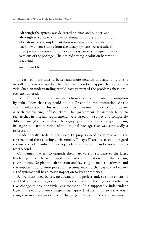Although the system was delivered on time and budget, and although it works to this day for thousands of users and millions of customers, the implementation was hugely complicated by the backflow of constraints from the legacy systems. As a result, it then proved uneconomic to move the system to subsequent major versions of the package. The desired strategic solution became a dead end.

—K.J. and R.H.

In each of these cases, a better and more detailed understanding of the overall problem was needed than standard top-down approaches could provide. Such an understanding would have prevented the problems these projects encountered.

Each of these three problems stems from a basic and incorrect assumption by stakeholders that they could build a Greenfield implementation. At the credit card processor, this assumption held firm until they tried to integrate it with the existing infrastructure. The government department failed to realize that its original requirements were based on a survey of a completely different site (the one in which the legacy system was cleared away), resulting in large-scale customization of the original package that was supposedly a perfect fit.

Fundamentally, today's large-scale IT projects need to work around the constraints of their existing environment. Today's IT architects should regard themselves as Brownfield redevelopers first, and exciting and visionary architects second.

Companies that try to upgrade their hardware or software to the latest levels experience the same ripple effect of contamination from the existing environment. Despite the abstraction and layering of modern software and the imposed rigor of enterprise architectures, making changes to the low levels of systems still has a major impact on today's enterprises.

As we mentioned before, no abstraction is perfect and, to some extent, it will leak around the edges. This means there is no such thing as a nondisruptive change to any nontrivial environment. As a supposedly independent layer in the environment changes—perhaps a database, middleware, or operating system version—a ripple of change permeates around the environment.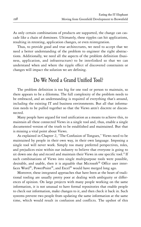As only certain combinations of products are supported, the change can cascade like a chain of dominoes. Ultimately, these ripples can hit applications, resulting in retesting, application changes, or even reintegration.

Thus, to provide good and true architectures, we need to accept that we need a better understanding of the problem to engineer the right abstractions. Additionally, we need all the aspects of the problem definition (business, application, and infrastructure) to be interlinked so that we can understand when and where the ripple effect of discovered constraints or changes will impact the solution we are defining.

# Do We Need a Grand Unified Tool?

The problem definition is too big for one tool or person to maintain, so there appears to be a dilemma. The full complexity of the problem needs to be embraced, and an understanding is required of everything that's around, including the existing IT and business environments. But all that information needs to be pulled together so that the Views aren't discrete or disconnected.

Many people have argued for tool unification as a means to achieve this, to maintain all these connected Views in a single tool and, thus, enable a single documented version of the truth to be established and maintained. But that is missing a vital point about Views.

As explained in Chapter 2, "The Confusion of Tongues," Views need to be maintained by people in their own way, in their own language. Imposing a single tool will never work. Simply too many preferred perspectives, roles, and prejudices exist within our industry to believe that everyone is going to sit down one day and record and maintain their Views in one specific tool.<sup>[4](#page-36-0)</sup> If such combinations of Views into single multipurpose tools were possible, desirable, and usable, then it is arguable that Microsoft® Office user interfaces Word®, PowerPoint®, and Excel® would have merged long ago.

Moreover, these integrated approaches that have been at the heart of traditional tooling are usually pretty poor at dealing with ambiguity or differences of opinion. On large projects with many people working on the same information, it is not unusual to have formal repositories that enable people to check out information, make changes to it, and then check it back in. Such systems prevent two people from updating the same information at the same time, which would result in confusion and conflicts. The upshot of this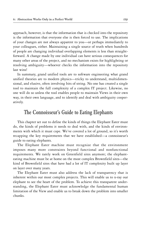approach, however, is that the information that is checked into the repository is the information that everyone else is then forced to use. The implications of your changes are not always apparent to you—or perhaps immediately to your colleagues, either. Maintaining a single source of truth when hundreds of people are changing individual overlapping elements is less than straightforward. A change made by one individual can have serious consequences for many other areas of the project, and no mechanism exists for highlighting or resolving ambiguity—whoever checks the information into the repository last wins!

In summary, grand unified tools are to software engineering what grand unified theories are to modern physics—tricky to understand, multidimensional, and elusive, often involving bits of string. No one has created a single tool to maintain the full complexity of a complex IT project. Likewise, no one will do so unless the tool enables people to maintain Views in their own way, in their own language, and to identify and deal with ambiguity cooperatively.

# The Connoisseur's Guide to Eating Elephants

This chapter set out to define the kinds of things the Elephant Eater must do, the kinds of problems it needs to deal with, and the kinds of environments with which it must cope. We've covered a lot of ground, so it's worth recapping the key requirements that we have established—a connoisseur's guide to eating elephants.

The Elephant Eater machine must recognize that the environment imposes many more constraints beyond functional and nonfunctional requirements. We rarely work on Greenfield sites anymore; the elephanteating machine must be at home on the most complex Brownfield sites—the kind of Brownfield sites that have had a lot of IT complexity built up layer on layer over many years.

The Elephant Eater must also address the lack of transparency that is inherent within our most complex projects. This will enable us to x-ray our elephant to see the heart of the problem. To achieve this transparent understanding, the Elephant Eater must acknowledge the fundamental human limitation of the View and enable us to break down the problem into smaller chunks.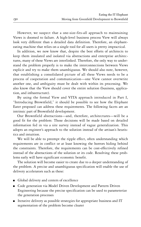However, we suspect that a one-size-fits-all approach to maintaining Views is doomed to failure. A high-level business process View will always look very different than a detailed data definition. Therefore, an elephanteating machine that relies on a single tool for all users is pretty impractical.

In addition, we now know that, despite the best efforts of architects to keep them insulated and isolated via abstractions and enterprise architectures, many of these Views are interlinked. Therefore, the only way to understand the problem properly is to make the interconnections between Views explicit and try to make them unambiguous. We should also note, however, that establishing a consolidated picture of all these Views needs to be a process of cooperation and communication—one View cannot overwrite another one, and ambiguity must be dealt with within its processing. We also know that the View should cover the entire solution (business, application, and infrastructure).

By using the formal View and VITA approach introduced in Part I, "Introducing Brownfield," it should be possible to see how the Elephant Eater proposed can address these requirements. The following facets are an intrinsic part of Brownfield development.

Our Brownfield abstractions—and, therefore, architectures—will be a good fit for the problem: Those decisions will be made based on detailed information fed in via a site survey instead of vague generalization. This adopts an engineer's approach to the solution instead of the artisan's heuristics and intuition.

We will be able to preempt the ripple effect, often understanding which requirements are in conflict or at least knowing the horrors hiding behind the constraints. Therefore, the requirements can be cost-effectively refined instead of the abstractions of the solution or its code. Resolving these problems early will have significant economic benefit.

The solution will become easier to create due to a deeper understanding of the problem. A precise and unambiguous specification will enable the use of delivery accelerators such as these:

- Global delivery and centers of excellence
- Code generation via Model Driven Development and Pattern Driven Engineering because the precise specification can be used to parameterize the generation processes
- Iterative delivery as possible strategies for appropriate business and IT segmentation of the problem become clearer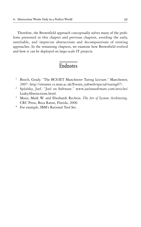<span id="page-36-0"></span>Therefore, the Brownfield approach conceptually solves many of the problems presented in this chapter and previous chapters, avoiding the early, unreliable, and imprecise abstractions and decompositions of existing approaches. In the remaining chapters, we examine how Brownfield evolved and how it can be deployed on large-scale IT projects.

# Endnotes

- <sup>1</sup> Booch, Grady. "The BCS/IET Manchester Turing Lecture." Manchester, 2007. [http://intranet.cs.man.ac.uk/Events\\_subweb/special/turing07/.](http://intranet.cs.man.ac.uk/Events_subweb/special/turing07/)
- <sup>2</sup> Splolsky, Joel. "Joel on Software." [www.joelonsoftware.com/articles/](www.joelonsoftware.com/articles/LeakyAbstractions.html) [LeakyAbstractions.html.](www.joelonsoftware.com/articles/LeakyAbstractions.html)
- <sup>3</sup> Maier, Mark W. and Eberhardt Rechtin. *The Art of Systems Architecting*. CRC Press, Boca Raton, Florida, 2000.
- <sup>4</sup> For example, IBM's Rational Tool Set.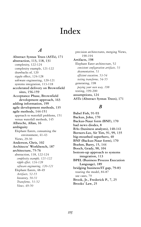# Index

# *A*

**Abstract Syntax Trees (ASTs), 171 abstraction, 113, 118, 131** complexity, 122-124 complexity example, 121-122 drawbacks of, 120 ripple effect, 124-128 software engineering, 120-121 systems integration, 113-118 **accelerated delivery on Brownfield sites, 156-159 Acceptance Phase, Brownfield development approach, 163 adding information, 199 agile development methods, 135 agile methods, 144-151** approach to waterfall problems, 151 versus waterfall methods, 145 **Albrecht, Allan, 16 ambiguity** Elephant Eaters, consuming the environment, 41-43 Views, 29-30 **Anderson, Chris, 102 Architects' Workbench, 187 architecture, 75-76** abstraction, 118, 122-124 *complexity example, 121-122 ripple effect, 124-128 software engineering, 120-121* Elephant Eaters, 48-49 *Artifacts, 52-55 Inventory, 50-51 Transforms, 51-52 Views, 49-50*

precision architectures, merging Views, 190-194 **Artifacts, 198** Elephant Eater architecture, 52 *consistent configuration artifacts, 53 documentation, 53 efficient execution, 53-54 testing transforms, 54-55* generating, 198 *paying your own way, 198* testing, 199-200 **assumptions, 124 ASTs (Abstract Syntax Trees), 171**

# *B*

**Babel Fish, 91-93 Backus, John, 170 Backus-Naur form (BNF), 170 bad news diodes, 8 BAs (business analysts), 140-141 Berners-Lee, Sir Tim, 91, 99, 135 big-mouthed superhero, 40 BNF (Backus-Naur form), 170 Boehm, Barry, 15, 144 Booch, Grady, 90, 104 bottom-up approach to systems integration, 113 BPEL (Business Process Execution Language), 189 bridging business/IT gap, 79-83** touring the model, 84-87 use cases, 79 **Brook, Jr., Frederick P., 7, 25 Brooks' Law, 25**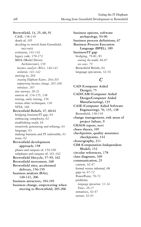**Brownfield, 14, 25, 60, 91**

CASE, 138-139 death of, 105 deciding to switch from Greenfield, [xxii-](#page-9-0)[xxiii](#page-10-0) evolution, 141-142 legacy code, 170-172 MDA (Model Driven Architecture), 139 *business analysts (BAs), 140-141 evolution, 141-142* moving to, 204 *creating Elephant Eaters, 204-205 empowering business change, 205-206 interfaces, 207* site surveys, 20-21 sources of, 134-135, 138 testing, early testing, 156 versus other techniques, 136 VITA, 166 **Brownfield Beliefs, 47, 60-61** bridging business/IT gap, 64 embracing complexity, 62 establishing truth, 64 iteratively generating and refining, 63 language, 63 making business and IT indivisible, 61 reuse, 62 **Brownfield development approach, 158** phases and outputs of, 159-160 subphases and outputs of, 161-162 **Brownfield lifecycle, 57-59, 162 Brownfield movement, 168 Brownfield sites, accelerated delivery, 156-159 business analysts (BAs), 140-141, 206 business attractors, 104-105 business change, empowering when moving to Brownfield, 205-206**

**business options, software archaeology, 93-96 business process definitions, 67 Business Process Execution Language (BPEL), 189 business/IT gap** bridging, 79-81, 83 *touring the model, 84-87 use cases, 79* Brownfield Beliefs, 64 language speciation, 32-34

# *C*

**CAD (Computer Aided Design), 75 CAD/CAM (Computer Aided Design/Computer Aided Manufacturing), 135 CASE (Computer Aided Software Engineering), 76, 135, 138** Brownfield, 138-139 **change management, risk areas of project failure, 9 CHAOS report, [xxvi](#page-11-0) chaos theory, 105 checkpoints, quality assurance checkpoints, 144 choreography, 211 CIM (Computation Independent Model), 152 circular references, 178 class diagrams, 169 communication, 25** context, 42-47 formal versus informal, 68 gaps in, 67-72 PowerPoint, 70-72 problems *language speciation, 31-34 Views, 26-27* semantics, 42-47 syntax, 42-43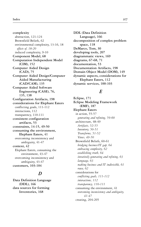**complexity** abstraction, 121-124 Brownfield Beliefs, 62 environmental complexity, 13-16, 18 *effects of, 18-20* induced complexity, 9-10 **Component Model, 68 Computation Independent Model (CIM), 152 Computer Aided Design (CAD), 75 Computer Aided Design/Computer Aided Manufacturing (CAD/CAM), 135 Computer Aided Software Engineering (CASE), 76, 135, 138 Configuration Artifacts, 198 considerations for Elephant Eaters** conflicting goals, 111-112 interactions, 112 transparency, 110-111 **consistent configuration artifacts, 53 constraints, 14-15, 49-50 consuming the environment, Elephant Eaters, 41** overcoming inconsistency and ambiguity, 41-47 **context, 42** Elephant Eaters, consuming the environment, 43-47 overcoming inconsistency and ambiguity, 43-47 **customers, 103-104**

# *D*

**Data Definition Language (DDL), 166 data sources for forming Inventories, 168**

**DDL (Data Definition Language), 166 decomposition of complex problem space, 118 DeMarco, Tom, 30 developing tools, 207 diagrammatic views, 169 diagrams, 67-68, 71 documentation, 53 Documentation Artifacts, 198 Domain Object Model (DOM), 149 dynamic aspects, considerations for Elephant Eaters, 112 dynamic services, 100-103**

# *E*

**Eclipse, 171 Eclipse Modeling Framework (EMF), 187 Elephant Eaters** in action, 55-57 *generating and refining, 59-60* architecture, 48-49 *Artifacts, 52-55 Inventory, 50-51 Transforms, 51-52 Views, 49-50* Brownfield Beliefs, 60-61 *bridging business/IT gap, 64 embracing complexity, 62 establishing truth, 64 iteratively generating and refining, 63 language, 63 making business and IT indivisible, 61 reuse, 62* considerations for *conflicting goals, 111-112 interactions, 112 transparency, 110-111* consuming the environment, 41 *overcoming inconsistency and ambiguity, 41-47* creating, 204-205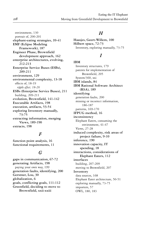environment, 130 portrait of, 200-201 **elephant-eating strategies, 39-41 EMF (Eclipse Modeling Framework), 187 Engineer Phase, Brownfield development approach, 162 enterprise architectures, evolving, 212-213 Enterprise Service Buses (ESBs), 209-211 environment, 129 environmental complexity, 13-18** effects of, 18-19 *ripple effect, 18-20* **ESBs (Enterprise Service Buses), 211** building, 209-211 **evolution, Brownfield, 141-142 Executable Artifacts, 198 execution, artifacts, 53-54 exploring Inventory manually, 73-75 extracting information, merging Views, 189-190 extracts, 198**

# *F*

**function point analysis, 16 functional requirements, 11**

# *G*

**gaps in communication, 67-72 generating Artifacts, 198** paying your own way, 199 **generation faults, identifying, 200 Gerstner, Lou, 30 globalization, 6 goals, conflicting goals, 111-112 Greenfield, deciding to move to Brownfield, [xxii-](#page-9-0)[xxiii](#page-10-0)**

# *H*

**Haasjes, Geert-Willem, 100 Hilbert space, 72-73** Inventory, exploring manually, 73-75

# *I*

**IBM** Inventory structures, 179 patents for implementation of Brownfield, 205 System/360, [xxi](#page-8-0) **IBM islands, 84 IBM Rational Software Architect (RSA), 189 identifying** generation faults, 200 missing or incorrect information, 186-187 patterns, 169-170 **IFPUG method, 16 inconsistency** Elephant Eaters, consuming the environment, 41-47 Views, 27-28 **induced complexity, risk areas of project failure, 9-10 inference, 190 innovation capacity, IT spending, 18 interactions, considerations of Elephant Eaters, 112 interfaces** building, 207-209 moving to Brownfield, 207 **Inventory** data sources, 168 Elephant Eater architecture, 50-51 exploring manually, 73-75 importers, 57 OWL, 180, 183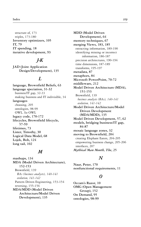structure of, 173 triples, 173-180 **Inventory optimizers, 105 IT, 79 IT spending, 18 iterative development, 93**

# *J-K*

**JAD (Joint Application Design/Development), 135**

# $\overline{L}$

**language, Brownfield Beliefs, 63 language speciation, 31-32** business/IT gap, 32-33 making business and IT indivisible, 34 **languages** choosing, 205 ontologies, 98-99 OWL. *See* OWL **legacy code, 170-172 lifecycles, Brownfield lifecycle, 57-59 lifetimes, 73 Lister, Timothy, 30 Logical Data Model, 68 Lojek, Bob, 124 long tail, 102**

#### *M*

**mashups, 134 MDA (Model Driven Architecture), 152-153** Brownfield, 139 *BAs (business analysts), 140-141 evolution, 141-142* Pattern Driven Engineering, 153-154 reversing, 155-156 **MDA/MDD (Model Driven Architecture/Model Driven Development), 135**

**MDD (Model Driven Development), 64 memory techniques, 67 merging Views, 183, 185** extracting information, 189-190 identifying missing or incorrect information, 186-187 precision architectures, 190-194 time dimensions, 187-189 transforms, 195-197 **metadata, 87 metaphors, 84 Microsoft PowerPoint, 70-72 middleware, 212 Model Driven Architecture (MDA), 151-153** Brownfield, 139 *business analysts (BAs), 140-141 evolution, 141-142* **Model Driven Architecture/Model Driven Development (MDA/MDD), 135 Model Driven Development, 57, 62 models, bridging business/IT gap, 84-87 mosaic language zones, 32 moving to Brownfield, 204** creating Elephant Eaters, 204-205 empowering business change, 205-206 interfaces, 207 *Mythical Man Month, The***, 25**

## *N*

**Naur, Peter, 170 nonfunctional requirements, 11**

### *O*

**Occam's Razor, 10 OMG (Open Management Group), 152 On Demand, 95 ontologies, 98-99**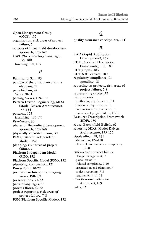**Open Management Group (OMG), 152 organization, risk areas of project failure, 7 outputs of Brownfield development approach, 159-162 OWL (Web Ontology Language), 138, 180** Inventory, 180, 183

#### *P*

**Palmisano, Sam, 95 parable of the blind men and the elephant, 24 parochialism, 47** Views, 30-31 **parsing Views, 169-170 Pattern Driven Engineering, MDA (Model Driven Architecture), 153-154 patterns, 125** identifying, 169-170 *Peopleware***, 30 phases of Brownfield development approach, 159-160 physically separated teams, 30 PIM (Platform Independent Model), 152 planning, risk areas of project failure, 7 Platform Independent Model (PIM), 152 Platform Specific Model (PSM), 152 plumbing, comparison, 121 PowerPoint, 70-72 precision architectures, merging views, 190-194 presentations, 71-72 private languages, 32 process flows, 67-68 project reporting, risk areas of project failure, 7-8 PSM (Platform Specific Model), 152**

# *Q*

**quality assurance checkpoints, 144**

# *R*

**RAD (Rapid Application Development), 135 RDF (Resource Description Framework), 138, 180 RDF graphs, 183 RDF/XML extract, 180 regulatory compliance, IT spending, 18 reporting on projects, risk areas of project failure, 7-8 representing triples, 72 requirements** conflicting requirements, 111 functional requirements, 11 nonfunctional requirements, 11 risk areas of project failure, 11-13 **Resource Description Framework (RDF), 180 reuse, Brownfield Beliefs, 62 reversing MDA (Model Driven Architecture), 155-156 ripple effect, 18, 131** abstraction, 124-128 effects of environmental complexity, 19-20 **risk areas of project failure** change management, 9 globalization, 7 induced complexity, 9-10 organization and planning, 7 project reporting, 7-8 requirements, 11-13 **RSA (Rational Software Architect), 189 rules, 93**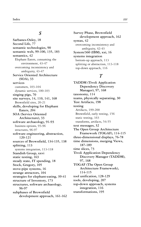# *S*

**Sarbanes-Oxley, 18 Second Life, 77 semantic technologies, 90 semantic web, 99-100, 135, 183 semantics, 42** Elephant Eaters, consuming the environment, 43-47 overcoming inconsistency and ambiguity, 43-47 **Service Oriented Architecture (SOA), 33 services** customers, 103-104 dynamic services, 100-103 **singing pigs, 70 site surveys, 14, 110, 141, 168** Brownfield sites, 20-21 **skills, developing for Elephant Eaters, 204 SOA (Service Oriented Architecture), 33 software archaeology, 91-93** business options, 93-96 structures, 96-97 **software engineering, abstraction, 120-121 sources of Brownfield, 134-135, 138 splitting, 113** systems integration, 113-118 **Standish Group, [xxvi](#page-13-1) static testing, 163 steady state, IT spending, 18 Stock, Gregory, 105 stove-pipe systems, 16 strange attractors, 104 strategies for elephant-eating, 39-41 structure of Inventory, 173 structures, software archaeology, 96-97 subphases of Brownfield development approach, 161-162** **Survey Phase, Brownfield development approach, 162 syntax, 42** overcoming inconsistency and ambiguity, 42-43 **System/360 (IBM), [xxi,](#page-8-0) 16 systems integration** bottom-up approach, 113 splitting or abstraction, 113-118 top-down approach, 116

## *T*

**TADDM (Tivoli Application Dependency Discovery Manager), 97, 168 taxonomy, 114 teams, physically separating, 30 Test Artifacts, 198 testing** Artifacts, 199-200 Brownfield, early testing, 156 static testing, 163 transforms, artifacts, 54-55 **text messages, 32 The Open Group Architecture Framework (TOGAF), 114-115 three-dimensional displays, 76-78 time dimensions, merging Views, 187-189 time slices, 73 Tivoli Application Dependency Discovery Manager (TADDM), 97, 168 TOGAF (The Open Group Architecture Framework), 114-115 tool unification, 128-129 tools, developing, 207 top-down approach, systems integration, 116 transformations, 195**